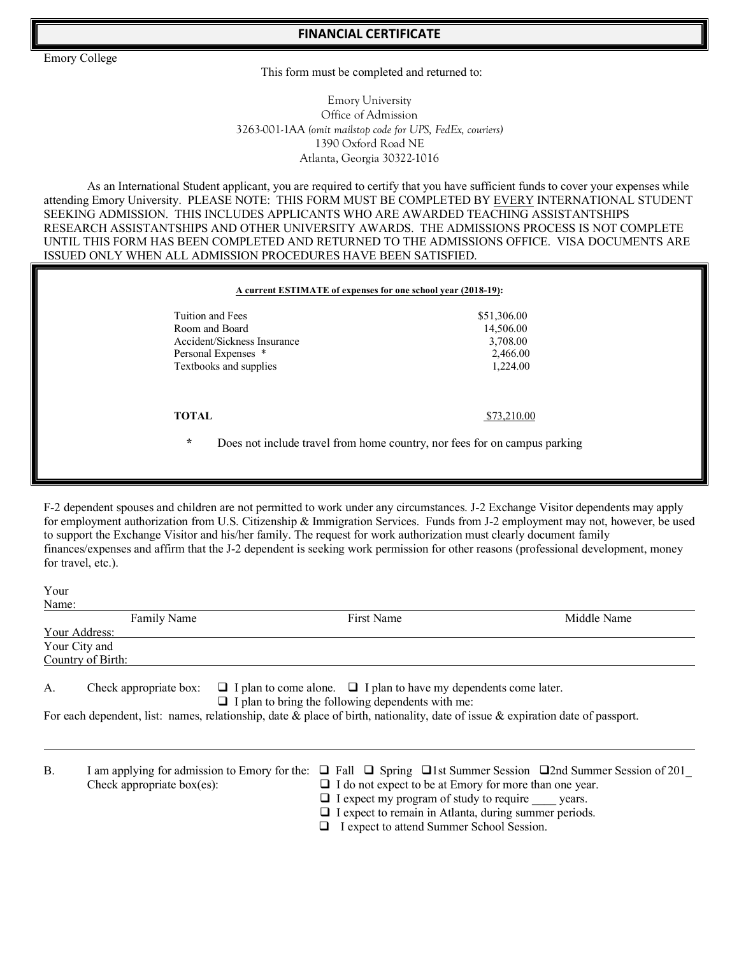**FINANCIAL CERTIFICATE** 

Emory College

This form must be completed and returned to:

Emory University Office of Admission 3263-001-1AA *(omit mailstop code for UPS, FedEx, couriers)* 1390 Oxford Road NE Atlanta, Georgia 30322-1016

As an International Student applicant, you are required to certify that you have sufficient funds to cover your expenses while attending Emory University. PLEASE NOTE: THIS FORM MUST BE COMPLETED BY EVERY INTERNATIONAL STUDENT SEEKING ADMISSION. THIS INCLUDES APPLICANTS WHO ARE AWARDED TEACHING ASSISTANTSHIPS RESEARCH ASSISTANTSHIPS AND OTHER UNIVERSITY AWARDS. THE ADMISSIONS PROCESS IS NOT COMPLETE UNTIL THIS FORM HAS BEEN COMPLETED AND RETURNED TO THE ADMISSIONS OFFICE. VISA DOCUMENTS ARE ISSUED ONLY WHEN ALL ADMISSION PROCEDURES HAVE BEEN SATISFIED.

| Tuition and Fees            | \$51,306.00 |
|-----------------------------|-------------|
| Room and Board              | 14,506.00   |
| Accident/Sickness Insurance | 3,708.00    |
| Personal Expenses *         | 2,466.00    |
| Textbooks and supplies      | 1,224.00    |
| <b>TOTAL</b>                | \$73,210.00 |

F-2 dependent spouses and children are not permitted to work under any circumstances. J-2 Exchange Visitor dependents may apply for employment authorization from U.S. Citizenship & Immigration Services. Funds from J-2 employment may not, however, be used to support the Exchange Visitor and his/her family. The request for work authorization must clearly document family finances/expenses and affirm that the J-2 dependent is seeking work permission for other reasons (professional development, money for travel, etc.).

| Your<br>Name:  |                                                                             |                                                                                                                                                                                                                                                                             |                                                                                      |
|----------------|-----------------------------------------------------------------------------|-----------------------------------------------------------------------------------------------------------------------------------------------------------------------------------------------------------------------------------------------------------------------------|--------------------------------------------------------------------------------------|
|                | <b>Family Name</b>                                                          | First Name                                                                                                                                                                                                                                                                  | Middle Name                                                                          |
|                | Your Address:                                                               |                                                                                                                                                                                                                                                                             |                                                                                      |
|                | Your City and                                                               |                                                                                                                                                                                                                                                                             |                                                                                      |
|                | Country of Birth:                                                           |                                                                                                                                                                                                                                                                             |                                                                                      |
| A.             | Check appropriate box:                                                      | $\Box$ I plan to come alone. $\Box$ I plan to have my dependents come later.<br>$\Box$ I plan to bring the following dependents with me:<br>For each dependent, list: names, relationship, date & place of birth, nationality, date of issue & expiration date of passport. |                                                                                      |
| $\mathbf{B}$ . | I am applying for admission to Emory for the:<br>Check appropriate box(es): | $\Box$ I do not expect to be at Emory for more than one year.<br>$\Box$ I expect my program of study to require vears.<br>$\Box$ I expect to remain in Atlanta, during summer periods.                                                                                      | $\Box$ Fall $\Box$ Spring $\Box$ 1st Summer Session $\Box$ 2nd Summer Session of 201 |

 $\Box$  I expect to attend Summer School Session.